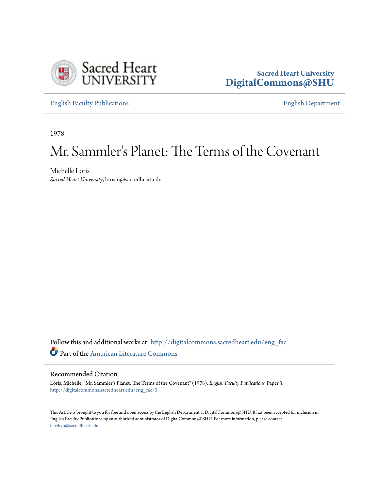

### **Sacred Heart University [DigitalCommons@SHU](http://digitalcommons.sacredheart.edu?utm_source=digitalcommons.sacredheart.edu%2Feng_fac%2F3&utm_medium=PDF&utm_campaign=PDFCoverPages)**

[English Faculty Publications](http://digitalcommons.sacredheart.edu/eng_fac?utm_source=digitalcommons.sacredheart.edu%2Feng_fac%2F3&utm_medium=PDF&utm_campaign=PDFCoverPages) [English Department](http://digitalcommons.sacredheart.edu/eng?utm_source=digitalcommons.sacredheart.edu%2Feng_fac%2F3&utm_medium=PDF&utm_campaign=PDFCoverPages)

1978

# Mr. Sammler 's Planet: The Terms of the Covenant

Michelle Loris *Sacred Heart University*, lorism@sacredheart.edu

Follow this and additional works at: [http://digitalcommons.sacredheart.edu/eng\\_fac](http://digitalcommons.sacredheart.edu/eng_fac?utm_source=digitalcommons.sacredheart.edu%2Feng_fac%2F3&utm_medium=PDF&utm_campaign=PDFCoverPages) Part of the [American Literature Commons](http://network.bepress.com/hgg/discipline/441?utm_source=digitalcommons.sacredheart.edu%2Feng_fac%2F3&utm_medium=PDF&utm_campaign=PDFCoverPages)

### Recommended Citation

Loris, Michelle, "Mr. Sammler's Planet: The Terms of the Covenant" (1978). *English Faculty Publications.* Paper 3. [http://digitalcommons.sacredheart.edu/eng\\_fac/3](http://digitalcommons.sacredheart.edu/eng_fac/3?utm_source=digitalcommons.sacredheart.edu%2Feng_fac%2F3&utm_medium=PDF&utm_campaign=PDFCoverPages)

This Article is brought to you for free and open access by the English Department at DigitalCommons@SHU. It has been accepted for inclusion in English Faculty Publications by an authorized administrator of DigitalCommons@SHU. For more information, please contact [ferribyp@sacredheart.edu](mailto:ferribyp@sacredheart.edu).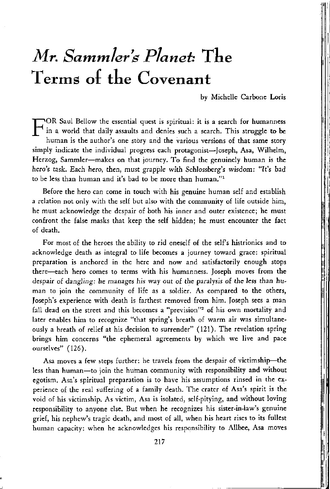## *Mr. Sammler's Planet:* The Terms of the Covenant

by Michelle Carbone Loris

F OR Saul Bellow the essential quest is spiritual: it is a search for humanness in a world that daily assaults and denies such a search. This struggle to be human is the author's one story and the various versions of that same story simply indicate the individual progress each protagonist—Joseph, Asa, Wilhelm, Herzog, Sammler—makes on that journey. To find the genuinely human is the hero's task. Each hero, then, must grapple with Schlossberg's wisdom: "It's bad to be less than human and it's bad to be more than human."<sup>1</sup>

Before the hero can come in touch with his genuine human self and establish a relation not only with the self but also with the community of life outside him, he must acknowledge the despair of both his inner and outer existence; he must confront the false masks that keep the self hidden; he must encounter the fact of death.

For most of the heroes the ability to rid oneself of the self's histrionics and to acknowledge death as integral to life becomes a journey toward grace: spiritual preparation is anchored in the here and now and satisfactorily enough stops there—each hero comes to terms with his humanness. Joseph moves from the despair of dangling: he manages his way out of the paralysis of the less than human to join the community of life as a soldier. As compared to the others, Joseph's experience with death is farthest removed from him. Joseph sees a man fall dead on the street and this becomes a "prevision"<sup>2</sup> of his own mortality and later enables him to recognize "that spring's breath of warm air was simultaneously a breath of relief at his decision to surrender" (121). The revelation spring brings him concerns "the ephemeral agreements by which we live and pace ourselves" (126).

Asa moves a few steps further: he travels from the despair of victimship—the less than human—to join the human community with responsibility and without egotism. Asa's spiritual preparation is to have his assumptions rinsed in the experience of the real suffering of a family death. The crater of Asa's spirit is the void of his victimship. As victim, Asa is isolated, self-pitying, and without loving responsibility to anyone else. But when he recognizes his sister-in-law's genuine grief, his nephew's tragic death, and most of all, when his heart rises to its fullest human capacity: when he acknowledges his responsibility to Allbee, Asa moves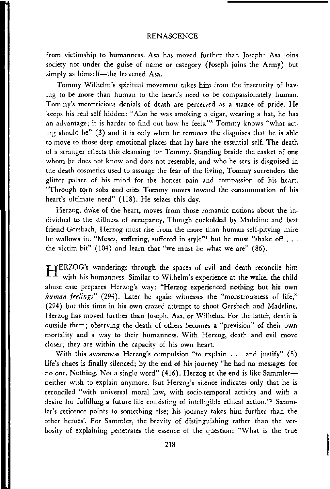from victimship to humanness. Asa has moved further than Joseph: Asa joins society not under the guise of name or category (Joseph joins the Army) but simply as himself—the leavened Asa.

Tommy Wilhelm's spiritual movement takes him from the insecurity of having to be more than human to the heart's need to be compassionately human. Tommy's meretricious denials of death are perceived as a stance of pride. He keeps his real self hidden: "Also he was smoking a cigar, wearing a hat, he has an advantage; it is harder to find out how he feels."<sup>3</sup> Tommy knows "what acting should be" (3) and it is only when he removes the disguises that he is able to move to those deep emotional places that lay bare the essential self. The death of a stranger effects this cleansing for Tommy. Standing beside the casket of one whom he does not know and does not resemble, and who he sees is disguised in the death cosmetics used to assuage the fear of the living, Tommy surrenders the glitter palace of his mind for the honest pain and compassion of his heart. "Through torn sobs and cries Tommy moves toward the consummation of his heart's ultimate need" (118). He seizes this day.

Herzog, duke of the heart, moves from those romantic notions about the individual to the stillness of occupancy. Though cuckolded by Madeline and best friend Gersbach, Herzog must rise from the more than human self-pitying mire he wallows in. "Moses, suffering, suffered in style"<sup>4</sup> but he must "shake off . . . the victim bit" (104) and learn that "we must be what we are" (86).

T jERZOG's wanderings through the spaces of evil and death reconcile him with his humanness. Similar to Wilhelm's experience at the wake, the child abuse case prepares Herzog's way: "Herzog experienced nothing but his own *human feelings"* (294). Later he again witnesses the "monstrousness of life," (294) but this time in his own crazed attempt to shoot Gersbach and Madeline. Herzog has moved further than Joseph, Asa, or Wilhelm. For the latter, death is outside them; observing the death of others becomes a "prevision" of their own mortality and a way to their humanness. With Herzog, death and evil move closer; they are within the capacity of his own heart.

With this awareness Herzog's compulsion "to explain . . . and justify" (8) life's chaos is finally silenced; by the end of his journey "he had no messages for no one. Nothing. Not a single word" (416). Herzog at the end is like Sammler neither wish to explain anymore. But Herzog's silence indicates only that he is reconciled "with universal moral law, with socio-temporal activity and with a desire for fulfilling a future life consisting of intelligible ethical action."<sup>5</sup> Sammler's reticence points to something else; his journey takes him further than the other heroes'. For Sammler, the brevity of distinguishing rather than the verbosity of explaining penetrates the essence of the question: "What is the true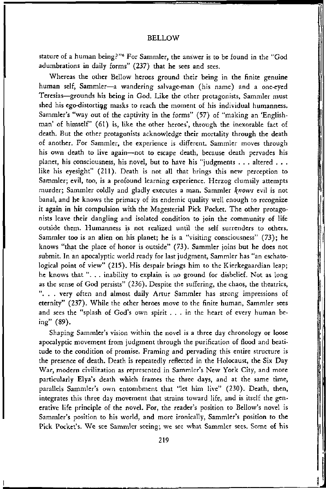#### BELLOW

stature of a human being?"<sup>6</sup> For Sammler, the answer is to be found in the "God adumbrations in daily forms" (237) that he sees and sees.

Whereas the other Bellow heroes ground their being in the finite genuine human self, Sammler—a wandering salvage-man (his name) and a one-eyed Teresias—grounds his being in God. Like the other protagonists, Sammler must shed his ego-distortiqg masks to reach the moment of his individual humanness. Sammler's "way out of the captivity in the forms" (57) of "making an 'Englishman' of himself" (61) is, like the other heroes', through the inexorable fact of death. But the other protagonists acknowledge their mortality through the death of another. For Sammler, the experience is different. Sammler moves through his own death to live again—not to escape death, because death pervades his planet, his consciousness, his novel, but to have his "judgments . . . altered . . . like his eyesight" (211). Death is not all that brings this new perception to Sammler; evil, too, is a profound learning experience. Herzog clumsily attempts murder; Sammler coldly and gladly executes a man. Sammler *knows* evil is not banal, and he knows the primacy of its endemic quality well enough to recognize it again in his compulsion with the Magesterial Pick Pocket. The other protagonists leave their dangling and isolated condition to join the community of life outside them. Humanness is not realized until the self surrenders to others. Sammler too is an alien on his planet; he is a "visiting consciousness" (73); he knows "that the place of honor is outside" (73). Sammler joins but he does not submit. In an apocalyptic world ready for last judgment, Sammler has "an eschatological point of view" (215). His despair brings him to the Kierkegaardian leap; he knows that ". . . inability to explain is no ground for disbelief. Not as long as the sense of God persists" (236). Despite the suffering, the chaos, the theatrics, ". . . very often and almost daily Artur Sammler has strong impressions of eternity" (237). While the other heroes move to the finite human, Sammler sees and sees the "splash of God's own spirit .. . in the heart of every human being" (89).

Shaping Sammler's vision within the novel is a three day chronology or loose apocalyptic movement from judgment through the purification of flood and beatitude to the condition of promise. Framing and pervading this entire structure is the presence of death. Death is repeatedly reflected in the Holocaust, the Six Day War, modern civilization as represented in Sammler's New York City, and more particularly Elya's death which frames the three days, and at the same time, parallels Sammler's own entombment that "let him live" (230). Death, then, integrates this three day movement that strains toward life, and is itself the generative life principle of the novel. For, the reader's position to Bellow's novel is Sammler's position to his world, and more ironically, Sammler's position to the Pick Pocket's. We see Sammler seeing; we see what Sammler sees. Some of his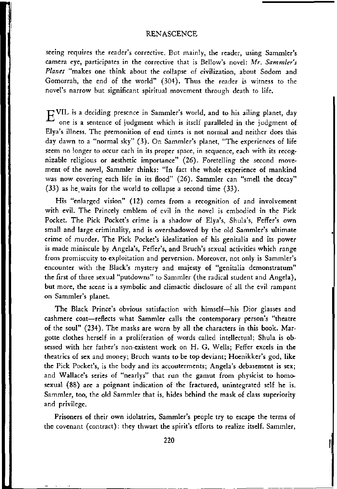#### RENASCENCE

seeing requires the reader's corrective. But mainly, the reader, using Sammler's camera eye, participates in the corrective that is Bellow's novel: *Mr. Sammler's Planet* "makes one think about the collapse of civilization, about Sodom and Gomorrah, the end of the world" (304). Thus the reader is witness to the novel's narrow but significant spiritual movement through death to life.

 $E^{VIL}$  is a deciding presence in Sammler's world, and to his ailing planet, day one is a sentence of judgment which is itself paralleled in the judgment of Elya's illness. The premonition of end times is not normal and neither does this day dawn to a "normal sky" (3). On Sammler's planet, "The experiences of life seem no longer to occur each in its proper space, in sequence, each with its recognizable religious or aesthetic importance" (26). Foretelling the second movement of the novel, Sammler thinks: "In fact the whole experience of mankind was now covering each life in its flood" (26). Sammler can "smell the decay" (33) as he waits for the world to collapse a second time (33).

His "enlarged vision" (12) comes from a recognition of and involvement with evil. The Princely emblem of evil in the novel is embodied in the Pick Pocket. The Pick Pocket's crime is a shadow of Elya's, Shula's, Feffer's own small and large criminality, and is overshadowed by the old Sammler's ultimate crime of murder. The Pick Pocket's idealization of his genitalia and its power is made miniscule by Angela's, Feffer's, and Bruch's sexual activities which range from promiscuity to exploitation and perversion. Moreover, not only is Sammler's encounter with the Black's mystery and majesty of "genitalia demonstratum" the first of three sexual "putdowns" to Sammler (the radical student and Angela), but more, the scene is a symbolic and climactic disclosure of all the evil rampant on Sammler's planet.

The Black Prince's obvious satisfaction with himself—his Dior glasses and cashmere coat—reflects what Sammler calls the contemporary person's "theatre of the soul" (234). The masks are worn by all the characters in this book. Margotte clothes herself in a proliferation of words called intellectual; Shula is obsessed with her father's non-existent work on H. G. Wells; Feffer excels in the theatrics of sex and money; Bruch wants to be top deviant; Hoenikker's god, like the Pick Pocket's, is the body and its accouterments; Angela's debasement is sex; and Wallace's series of "nearlys" that run the gamut from physicist to homosexual (88) are a poignant indication of the fractured, unintegrated self he is. Sammler, too, the old Sammler that is, hides behind the mask of class superiority and privilege.

Prisoners of their own idolatries, Sammler's people try to escape the terms of the covenant (contract): they thwart the spirit's efforts to realize itself. Sammler,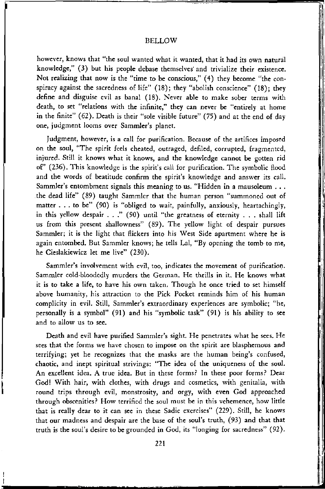#### BELLOW

however, knows that "the soul wanted what it wanted, that it had its own natural knowledge," (3) but his people debase themselves' and trivialize their existence. Not realizing that now is the "time to be conscious," (4) they become "the conspiracy against the sacredness of life" (18); they "abolish conscience" (18); they define and disguise evil as banal (18). Never able to make sober terms with death, to set "relations with the infinite," they can never be "entirely at home in the finite" (62). Death is their "sole visible future" (75) and at the end of day one, judgment looms over Sammler's planet.

Judgment, however, is a call for purification. Because of the artifices imposed on the soul, "The spirit feels cheated, outraged, defiled, corrupted, fragmented, injured. Still it knows what it knows, and the knowledge cannot be gotten rid of" (236). This knowledge is the spirit's call for purification. The symbolic flood and the words of beatitude confirm the spirit's knowledge and answer its call. Sammler's entombment signals this meaning to us. "Hidden in a mausoleum . . . the dead life" (89) taught Sammler that the human person "summoned out of matter . . . to be" (90) is "obliged to wait, painfully, anxiously, heartachingly, in this yellow despair . . ." (90) until "the greatness of eternity . . . shall lift us from this present shallowness" (89). The yellow light of despair pursues Sammler; it is the light that flickers into his West Side apartment where he is again entombed. But Sammler knows; he tells Lai, "By opening the tomb to me, he Cieslakiewicz let me live" (230).

Sammler's involvement with evil, too, indicates the movement of purification. Sammler cold-bloodedly murders the German. He thrills in it. He knows what it is to take a life, to have his own taken. Though he once tried to set himself above humanity, his attraction to the Pick Pocket reminds him of his human complicity in evil. Still, Sammler's extraordinary experiences are symbolic; "he, personally is a symbol" (91) and his "symbolic task" (91) is his ability to see and to allow us to see.

Death and evil have purified Sammler's sight. He penetrates what he sees. He sees that the forms we have chosen to impose on the spirit are blasphemous and terrifying; yet he recognizes that the masks are the human being's confused, chaotic, and inept spiritual strivings: "The idea of the uniqueness of the soul. An excellent idea. A true idea. But in these forms? In these poor forms? Dear God! With hair, with clothes, with drugs and cosmetics, with genitalia, with round trips through evil, monstrosity, and orgy, with even God approached through obscenities? How terrified the soul must be in this vehemence, how little that is really dear to it can see in these Sadie exercises" (229). Still, he knows that our madness and despair are the base of the soul's truth, (93) and that that truth is the soul's desire to be grounded in God, its "longing for sacredness" (92).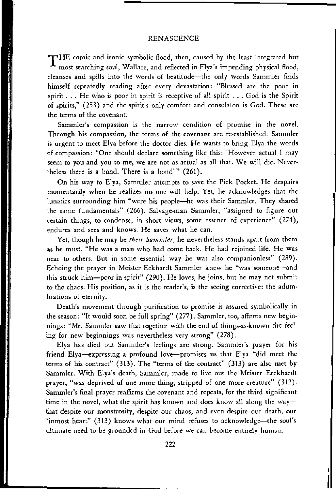#### RENASCENCE

 $\Upsilon$ HE comic and ironic symbolic flood, then, caused by the least integrated but most searching soul, Wallace, and reflected in Elya's impending physical flood, cleanses and spills into the words of beatitude—the only words Sammler finds himself repeatedly reading after every devastation: "Blessed are the poor in spirit... He who is poor in spirit is receptive of all spirit ... God is the Spirit of spirits," (253) and the spirit's only comfort and consolaton is God. These are the terms of the covenant.

Sammler's compassion is the narrow condition of promise in the novel. Through his compassion, the terms of the covenant are re-established. Sammler is urgent to meet Elya before the doctor dies. He wants to bring Elya the words of compassion: "One should declare something like this: 'However actual I may seem to you and you to me, we are not as actual as all that. We will die. Nevertheless there is a bond. There is a bond'" (261).

On his way to Elya, Sammler attempts to save the Pick Pocket. He despairs momentarily when he realizes no one will help. Yet, he acknowledges that the lunatics surrounding him "were his people—he was their Sammler. They shared the same fundamentals" (266). Salvage-man Sammler, "assigned to figure out certain things, to condense, in short views, some essence of experience" (274), endures and sees and knows. He saves what he can.

Yet, though he may be *their Sammler,* he nevertheless stands apart from them as he must. "He was a man who had come back. He had rejoined life. He was near to others. But in some essential way he was also companionless" (289). Echoing the prayer in Meister Eckhardt Sammler knew he "was someone—and this struck him—poor in spirit" (290). He loves, he joins, but he may not submit to the chaos. His position, as it is the reader's, is the seeing corrective: the adumbrations of eternity.

Death's movement through purification to promise is assured symbolically in the season: "It would soon be full spring" (277). Sammler, too, affirms new beginnings: "Mr. Sammler saw that together with the end of things-as-known the feeling for new beginnings was nevertheless very strong" (278).

Elya has died but Sammler's feelings are strong. Sammler's prayer for his friend Elya—expressing a profound love—promises us that Elya "did meet the terms of his contract" (313). The "terms of the contract" (313) are also met by Sammler. With Elya's death, Sammler, made to live out the Meister Erckhardt prayer, "was deprived of one more thing, stripped of one more creature" (312). Sammler's final prayer reaffirms the covenant and repeats, for the third significant time in the novel, what the spirit has known and does know all along the way that despite our monstrosity, despite our chaos, and even despite our death, our "inmost heart" (313) knows what our mind refuses to acknowledge—the soul's ultimate need to be grounded in God before we can become entirely human.